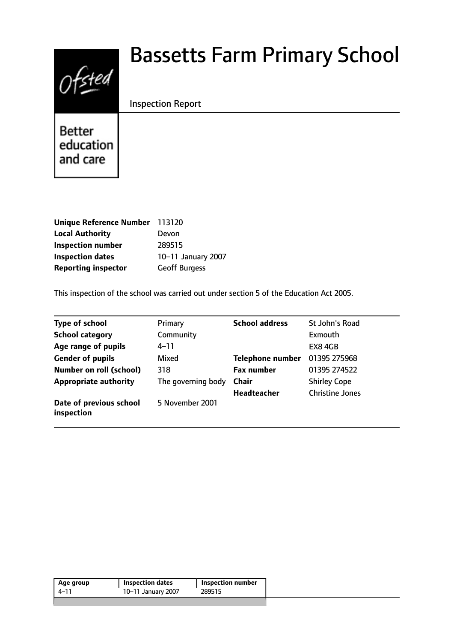# Ofsted

# Bassetts Farm Primary School

Inspection Report

**Better** education and care

| <b>Unique Reference Number</b> | 113120               |
|--------------------------------|----------------------|
| <b>Local Authority</b>         | Devon                |
| <b>Inspection number</b>       | 289515               |
| <b>Inspection dates</b>        | 10-11 January 2007   |
| <b>Reporting inspector</b>     | <b>Geoff Burgess</b> |

This inspection of the school was carried out under section 5 of the Education Act 2005.

| <b>Type of school</b>                 | Primary            | <b>School address</b>   | St John's Road         |
|---------------------------------------|--------------------|-------------------------|------------------------|
| <b>School category</b>                | Community          |                         | Exmouth                |
| Age range of pupils                   | 4–11               |                         | EX8 4GB                |
| <b>Gender of pupils</b>               | Mixed              | <b>Telephone number</b> | 01395 275968           |
| <b>Number on roll (school)</b>        | 318                | <b>Fax number</b>       | 01395 274522           |
| <b>Appropriate authority</b>          | The governing body | Chair                   | <b>Shirley Cope</b>    |
|                                       |                    | <b>Headteacher</b>      | <b>Christine Jones</b> |
| Date of previous school<br>inspection | 5 November 2001    |                         |                        |

| 10-11 January 2007<br>289515<br>4–11 | Inspection number |
|--------------------------------------|-------------------|
|                                      |                   |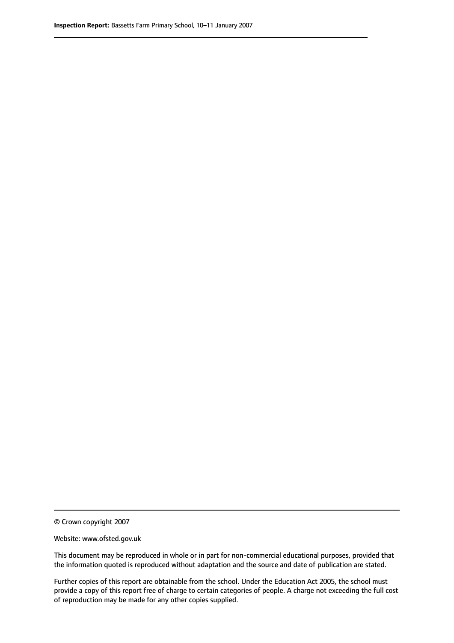© Crown copyright 2007

Website: www.ofsted.gov.uk

This document may be reproduced in whole or in part for non-commercial educational purposes, provided that the information quoted is reproduced without adaptation and the source and date of publication are stated.

Further copies of this report are obtainable from the school. Under the Education Act 2005, the school must provide a copy of this report free of charge to certain categories of people. A charge not exceeding the full cost of reproduction may be made for any other copies supplied.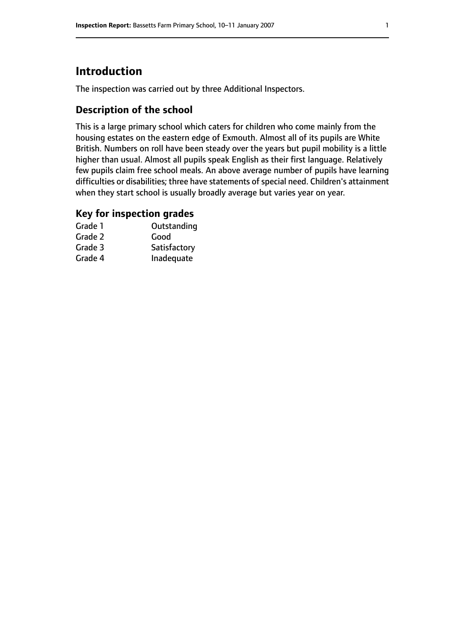## **Introduction**

The inspection was carried out by three Additional Inspectors.

#### **Description of the school**

This is a large primary school which caters for children who come mainly from the housing estates on the eastern edge of Exmouth. Almost all of its pupils are White British. Numbers on roll have been steady over the years but pupil mobility is a little higher than usual. Almost all pupils speak English as their first language. Relatively few pupils claim free school meals. An above average number of pupils have learning difficulties or disabilities; three have statements of special need. Children's attainment when they start school is usually broadly average but varies year on year.

#### **Key for inspection grades**

| Grade 1 | Outstanding  |
|---------|--------------|
| Grade 2 | Good         |
| Grade 3 | Satisfactory |
| Grade 4 | Inadequate   |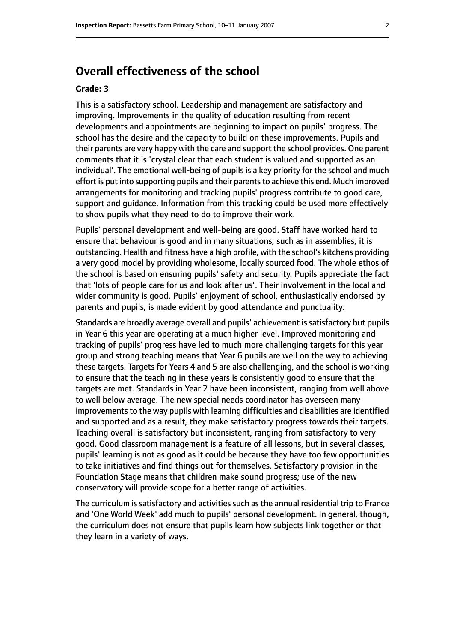#### **Overall effectiveness of the school**

#### **Grade: 3**

This is a satisfactory school. Leadership and management are satisfactory and improving. Improvements in the quality of education resulting from recent developments and appointments are beginning to impact on pupils' progress. The school has the desire and the capacity to build on these improvements. Pupils and their parents are very happy with the care and support the school provides. One parent comments that it is 'crystal clear that each student is valued and supported as an individual'. The emotional well-being of pupils is a key priority for the school and much effort is put into supporting pupils and their parents to achieve this end. Much improved arrangements for monitoring and tracking pupils' progress contribute to good care, support and guidance. Information from this tracking could be used more effectively to show pupils what they need to do to improve their work.

Pupils' personal development and well-being are good. Staff have worked hard to ensure that behaviour is good and in many situations, such as in assemblies, it is outstanding. Health and fitness have a high profile, with the school's kitchens providing a very good model by providing wholesome, locally sourced food. The whole ethos of the school is based on ensuring pupils' safety and security. Pupils appreciate the fact that 'lots of people care for us and look after us'. Their involvement in the local and wider community is good. Pupils' enjoyment of school, enthusiastically endorsed by parents and pupils, is made evident by good attendance and punctuality.

Standards are broadly average overall and pupils' achievement is satisfactory but pupils in Year 6 this year are operating at a much higher level. Improved monitoring and tracking of pupils' progress have led to much more challenging targets for this year group and strong teaching means that Year 6 pupils are well on the way to achieving these targets. Targets for Years 4 and 5 are also challenging, and the school is working to ensure that the teaching in these years is consistently good to ensure that the targets are met. Standards in Year 2 have been inconsistent, ranging from well above to well below average. The new special needs coordinator has overseen many improvements to the way pupils with learning difficulties and disabilities are identified and supported and as a result, they make satisfactory progress towards their targets. Teaching overall is satisfactory but inconsistent, ranging from satisfactory to very good. Good classroom management is a feature of all lessons, but in several classes, pupils' learning is not as good as it could be because they have too few opportunities to take initiatives and find things out for themselves. Satisfactory provision in the Foundation Stage means that children make sound progress; use of the new conservatory will provide scope for a better range of activities.

The curriculum is satisfactory and activities such as the annual residential trip to France and 'One World Week' add much to pupils' personal development. In general, though, the curriculum does not ensure that pupils learn how subjects link together or that they learn in a variety of ways.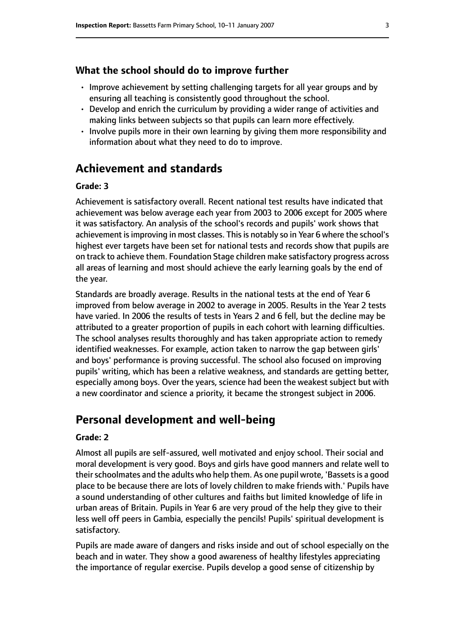#### **What the school should do to improve further**

- Improve achievement by setting challenging targets for all year groups and by ensuring all teaching is consistently good throughout the school.
- Develop and enrich the curriculum by providing a wider range of activities and making links between subjects so that pupils can learn more effectively.
- Involve pupils more in their own learning by giving them more responsibility and information about what they need to do to improve.

#### **Achievement and standards**

#### **Grade: 3**

Achievement is satisfactory overall. Recent national test results have indicated that achievement was below average each year from 2003 to 2006 except for 2005 where it was satisfactory. An analysis of the school's records and pupils' work shows that achievement is improving in most classes. This is notably so in Year 6 where the school's highest ever targets have been set for national tests and records show that pupils are on track to achieve them. Foundation Stage children make satisfactory progress across all areas of learning and most should achieve the early learning goals by the end of the year.

Standards are broadly average. Results in the national tests at the end of Year 6 improved from below average in 2002 to average in 2005. Results in the Year 2 tests have varied. In 2006 the results of tests in Years 2 and 6 fell, but the decline may be attributed to a greater proportion of pupils in each cohort with learning difficulties. The school analyses results thoroughly and has taken appropriate action to remedy identified weaknesses. For example, action taken to narrow the gap between girls' and boys' performance is proving successful. The school also focused on improving pupils' writing, which has been a relative weakness, and standards are getting better, especially among boys. Over the years, science had been the weakest subject but with a new coordinator and science a priority, it became the strongest subject in 2006.

#### **Personal development and well-being**

#### **Grade: 2**

Almost all pupils are self-assured, well motivated and enjoy school. Their social and moral development is very good. Boys and girls have good manners and relate well to theirschoolmates and the adults who help them. As one pupil wrote, 'Bassetsis a good place to be because there are lots of lovely children to make friends with.' Pupils have a sound understanding of other cultures and faiths but limited knowledge of life in urban areas of Britain. Pupils in Year 6 are very proud of the help they give to their less well off peers in Gambia, especially the pencils! Pupils' spiritual development is satisfactory.

Pupils are made aware of dangers and risks inside and out of school especially on the beach and in water. They show a good awareness of healthy lifestyles appreciating the importance of regular exercise. Pupils develop a good sense of citizenship by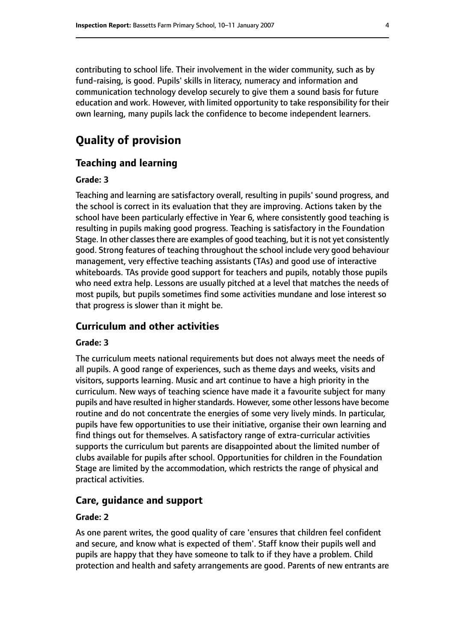contributing to school life. Their involvement in the wider community, such as by fund-raising, is good. Pupils' skills in literacy, numeracy and information and communication technology develop securely to give them a sound basis for future education and work. However, with limited opportunity to take responsibility for their own learning, many pupils lack the confidence to become independent learners.

## **Quality of provision**

#### **Teaching and learning**

#### **Grade: 3**

Teaching and learning are satisfactory overall, resulting in pupils' sound progress, and the school is correct in its evaluation that they are improving. Actions taken by the school have been particularly effective in Year 6, where consistently good teaching is resulting in pupils making good progress. Teaching is satisfactory in the Foundation Stage. In other classes there are examples of good teaching, but it is not yet consistently good. Strong features of teaching throughout the school include very good behaviour management, very effective teaching assistants (TAs) and good use of interactive whiteboards. TAs provide good support for teachers and pupils, notably those pupils who need extra help. Lessons are usually pitched at a level that matches the needs of most pupils, but pupils sometimes find some activities mundane and lose interest so that progress is slower than it might be.

#### **Curriculum and other activities**

#### **Grade: 3**

The curriculum meets national requirements but does not always meet the needs of all pupils. A good range of experiences, such as theme days and weeks, visits and visitors, supports learning. Music and art continue to have a high priority in the curriculum. New ways of teaching science have made it a favourite subject for many pupils and have resulted in higher standards. However, some other lessons have become routine and do not concentrate the energies of some very lively minds. In particular, pupils have few opportunities to use their initiative, organise their own learning and find things out for themselves. A satisfactory range of extra-curricular activities supports the curriculum but parents are disappointed about the limited number of clubs available for pupils after school. Opportunities for children in the Foundation Stage are limited by the accommodation, which restricts the range of physical and practical activities.

#### **Care, guidance and support**

#### **Grade: 2**

As one parent writes, the good quality of care 'ensures that children feel confident and secure, and know what is expected of them'. Staff know their pupils well and pupils are happy that they have someone to talk to if they have a problem. Child protection and health and safety arrangements are good. Parents of new entrants are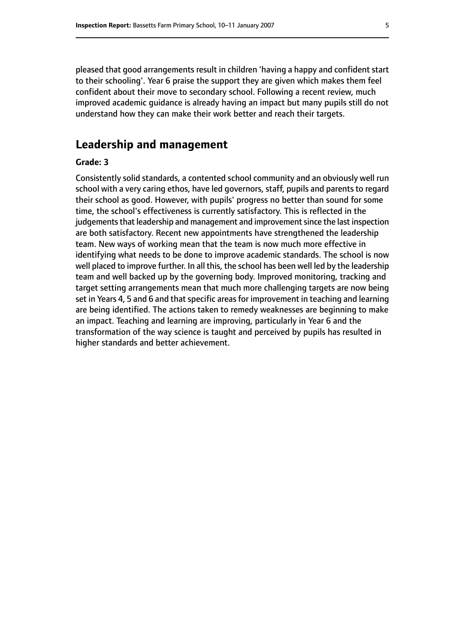pleased that good arrangements result in children 'having a happy and confident start to their schooling'. Year 6 praise the support they are given which makes them feel confident about their move to secondary school. Following a recent review, much improved academic guidance is already having an impact but many pupils still do not understand how they can make their work better and reach their targets.

#### **Leadership and management**

#### **Grade: 3**

Consistently solid standards, a contented school community and an obviously well run school with a very caring ethos, have led governors, staff, pupils and parents to regard their school as good. However, with pupils' progress no better than sound for some time, the school's effectiveness is currently satisfactory. This is reflected in the judgements that leadership and management and improvement since the last inspection are both satisfactory. Recent new appointments have strengthened the leadership team. New ways of working mean that the team is now much more effective in identifying what needs to be done to improve academic standards. The school is now well placed to improve further. In all this, the school has been well led by the leadership team and well backed up by the governing body. Improved monitoring, tracking and target setting arrangements mean that much more challenging targets are now being set in Years 4, 5 and 6 and that specific areas for improvement in teaching and learning are being identified. The actions taken to remedy weaknesses are beginning to make an impact. Teaching and learning are improving, particularly in Year 6 and the transformation of the way science is taught and perceived by pupils has resulted in higher standards and better achievement.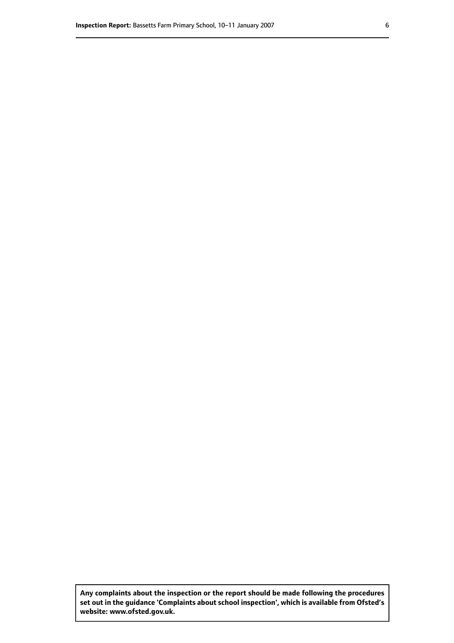**Any complaints about the inspection or the report should be made following the procedures set out inthe guidance 'Complaints about school inspection', whichis available from Ofsted's website: www.ofsted.gov.uk.**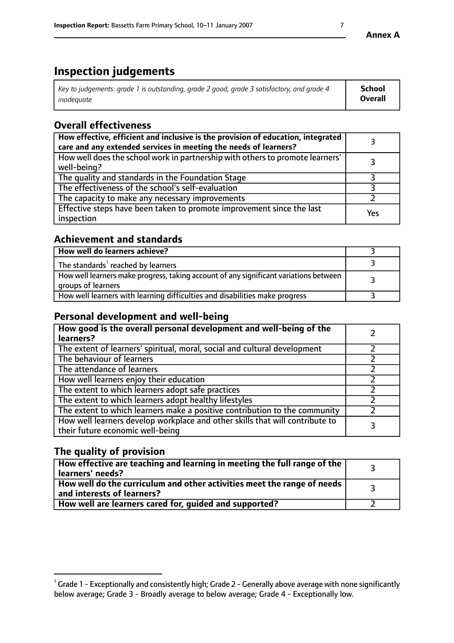# **Inspection judgements**

| Key to judgements: grade 1 is outstanding, grade 2 good, grade 3 satisfactory, and grade 4 | <b>School</b>  |
|--------------------------------------------------------------------------------------------|----------------|
| inadeauate                                                                                 | <b>Overall</b> |

# **Overall effectiveness**

| How effective, efficient and inclusive is the provision of education, integrated<br>care and any extended services in meeting the needs of learners? |     |
|------------------------------------------------------------------------------------------------------------------------------------------------------|-----|
| How well does the school work in partnership with others to promote learners'<br>well-being?                                                         |     |
| The quality and standards in the Foundation Stage                                                                                                    |     |
| The effectiveness of the school's self-evaluation                                                                                                    |     |
| The capacity to make any necessary improvements                                                                                                      |     |
| Effective steps have been taken to promote improvement since the last<br>inspection                                                                  | Yes |

#### **Achievement and standards**

| How well do learners achieve?                                                                               |  |
|-------------------------------------------------------------------------------------------------------------|--|
| The standards <sup>1</sup> reached by learners                                                              |  |
| How well learners make progress, taking account of any significant variations between<br>groups of learners |  |
| How well learners with learning difficulties and disabilities make progress                                 |  |

#### **Personal development and well-being**

| How good is the overall personal development and well-being of the<br>learners?                                  |  |
|------------------------------------------------------------------------------------------------------------------|--|
| The extent of learners' spiritual, moral, social and cultural development                                        |  |
| The behaviour of learners                                                                                        |  |
| The attendance of learners                                                                                       |  |
| How well learners enjoy their education                                                                          |  |
| The extent to which learners adopt safe practices                                                                |  |
| The extent to which learners adopt healthy lifestyles                                                            |  |
| The extent to which learners make a positive contribution to the community                                       |  |
| How well learners develop workplace and other skills that will contribute to<br>their future economic well-being |  |

#### **The quality of provision**

| $\Box$ How effective are teaching and learning in meeting the full range of the $\Box$<br>  learners' needs?        |  |
|---------------------------------------------------------------------------------------------------------------------|--|
| $\mid$ How well do the curriculum and other activities meet the range of needs<br>$\mid$ and interests of learners? |  |
| How well are learners cared for, guided and supported?                                                              |  |

 $^1$  Grade 1 - Exceptionally and consistently high; Grade 2 - Generally above average with none significantly below average; Grade 3 - Broadly average to below average; Grade 4 - Exceptionally low.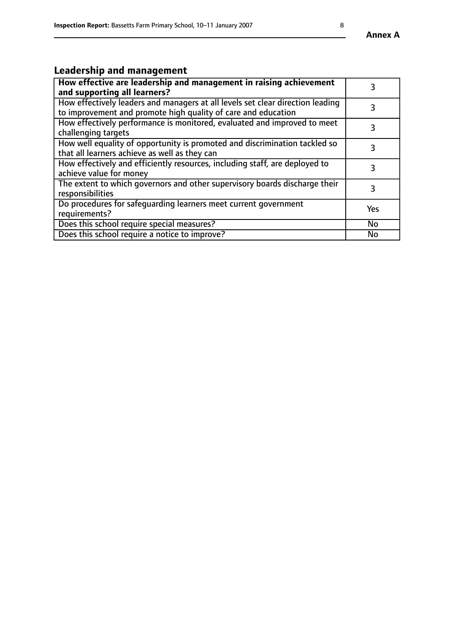# **Leadership and management**

| How effective are leadership and management in raising achievement<br>and supporting all learners?                                              |           |
|-------------------------------------------------------------------------------------------------------------------------------------------------|-----------|
| How effectively leaders and managers at all levels set clear direction leading<br>to improvement and promote high quality of care and education |           |
| How effectively performance is monitored, evaluated and improved to meet<br>challenging targets                                                 | 3         |
| How well equality of opportunity is promoted and discrimination tackled so<br>that all learners achieve as well as they can                     |           |
| How effectively and efficiently resources, including staff, are deployed to<br>achieve value for money                                          | 3         |
| The extent to which governors and other supervisory boards discharge their<br>responsibilities                                                  | 3         |
| Do procedures for safequarding learners meet current government<br>requirements?                                                                | Yes       |
| Does this school require special measures?                                                                                                      | No        |
| Does this school require a notice to improve?                                                                                                   | <b>No</b> |